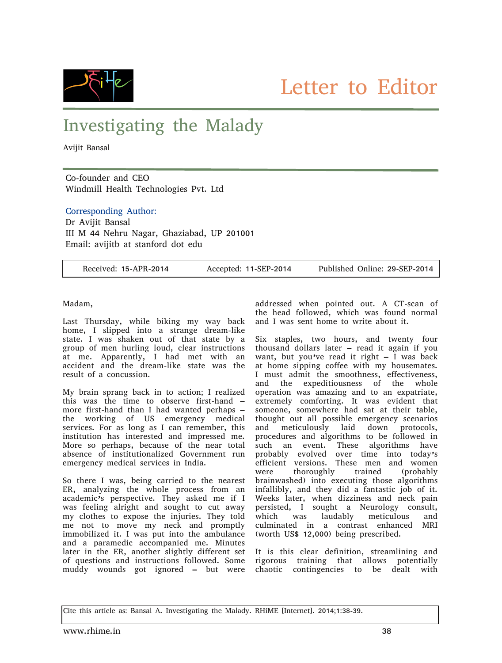

## Investigating the Malady

Avijit Bansal

Co-founder and CEO Windmill Health Technologies Pvt. Ltd

## Corresponding Author:

Dr Avijit Bansal III M 44 Nehru Nagar, Ghaziabad, UP 201001 Email: avijitb at stanford dot edu

| Received: 15-APR-2014 | Accepted: 11-SEP-2014 | Published Online: 29-SEP-2014 |
|-----------------------|-----------------------|-------------------------------|
|-----------------------|-----------------------|-------------------------------|

Madam,

Last Thursday, while biking my way back home, I slipped into a strange dream-like state. I was shaken out of that state by a group of men hurling loud, clear instructions at me. Apparently, I had met with an accident and the dream-like state was the result of a concussion.

My brain sprang back in to action; I realized this was the time to observe first-hand – more first-hand than I had wanted perhaps – the working of US emergency medical services. For as long as I can remember, this institution has interested and impressed me. More so perhaps, because of the near total absence of institutionalized Government run emergency medical services in India.

So there I was, being carried to the nearest ER, analyzing the whole process from an academic's perspective. They asked me if I was feeling alright and sought to cut away my clothes to expose the injuries. They told me not to move my neck and promptly immobilized it. I was put into the ambulance and a paramedic accompanied me. Minutes later in the ER, another slightly different set of questions and instructions followed. Some muddy wounds got ignored – but were

addressed when pointed out. A CT-scan of the head followed, which was found normal and I was sent home to write about it.

Six staples, two hours, and twenty four thousand dollars later – read it again if you want, but you've read it right  $-$  I was back at home sipping coffee with my housemates. I must admit the smoothness, effectiveness, and the expeditiousness of the whole operation was amazing and to an expatriate, extremely comforting. It was evident that someone, somewhere had sat at their table, thought out all possible emergency scenarios and meticulously laid down protocols, procedures and algorithms to be followed in such an event. These algorithms have probably evolved over time into today's efficient versions. These men and women were thoroughly trained (probably brainwashed) into executing those algorithms infallibly, and they did a fantastic job of it. Weeks later, when dizziness and neck pain persisted, I sought a Neurology consult, which was laudably meticulous and culminated in a contrast enhanced MRI (worth US\$ 12,000) being prescribed.

It is this clear definition, streamlining and rigorous training that allows potentially chaotic contingencies to be dealt with

Cite this article as: Bansal A. Investigating the Malady. RHiME [Internet]. 2014;1:38-39.